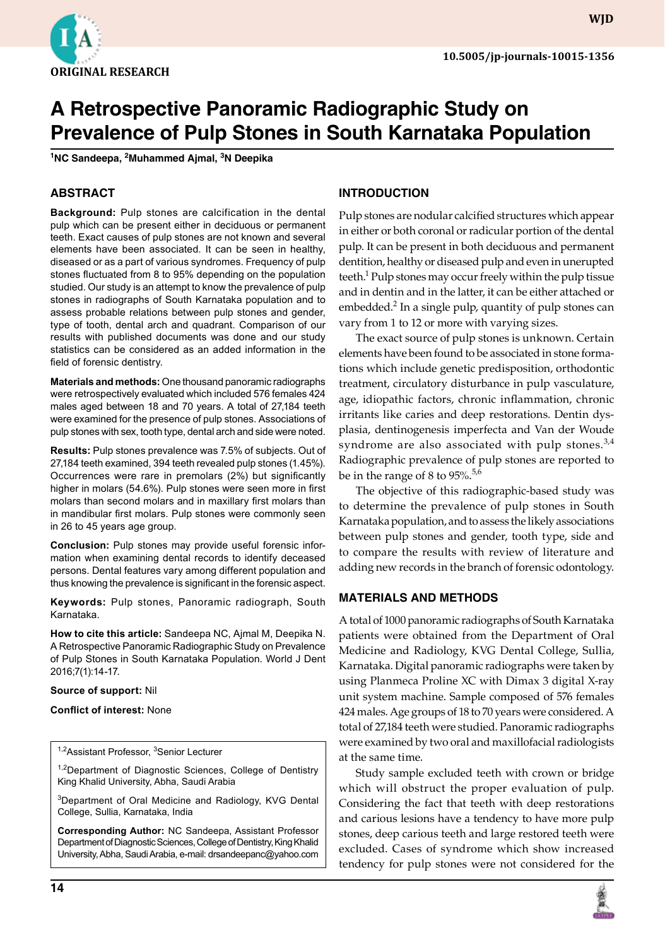

**WJD**

# **A Retrospective Panoramic Radiographic Study on Prevalence of Pulp Stones in South Karnataka Population**

**<sup>1</sup>NC Sandeepa, 2Muhammed Ajmal, 3N Deepika**

## **ABSTRACT**

**Background:** Pulp stones are calcification in the dental pulp which can be present either in deciduous or permanent teeth. Exact causes of pulp stones are not known and several elements have been associated. It can be seen in healthy, diseased or as a part of various syndromes. Frequency of pulp stones fluctuated from 8 to 95% depending on the population studied. Our study is an attempt to know the prevalence of pulp stones in radiographs of South Karnataka population and to assess probable relations between pulp stones and gender, type of tooth, dental arch and quadrant. Comparison of our results with published documents was done and our study statistics can be considered as an added information in the field of forensic dentistry.

**Materials and methods:** One thousand panoramic radiographs were retrospectively evaluated which included 576 females 424 males aged between 18 and 70 years. A total of 27,184 teeth were examined for the presence of pulp stones. Associations of pulp stones with sex, tooth type, dental arch and side were noted.

**Results:** Pulp stones prevalence was 7.5% of subjects. Out of 27,184 teeth examined, 394 teeth revealed pulp stones (1.45%). Occurrences were rare in premolars (2%) but significantly higher in molars (54.6%). Pulp stones were seen more in first molars than second molars and in maxillary first molars than in mandibular first molars. Pulp stones were commonly seen in 26 to 45 years age group.

**Conclusion:** Pulp stones may provide useful forensic information when examining dental records to identify deceased persons. Dental features vary among different population and thus knowing the prevalence is significant in the forensic aspect.

**Keywords:** Pulp stones, Panoramic radiograph, South Karnataka.

**How to cite this article:** Sandeepa NC, Ajmal M, Deepika N. A Retrospective Panoramic Radiographic Study on Prevalence of Pulp Stones in South Karnataka Population. World J Dent 2016;7(1):14-17.

**Source of support:** Nil

#### **Conflict of interest:** None

1,2 Assistant Professor, <sup>3</sup> Senior Lecturer

<sup>1,2</sup>Department of Diagnostic Sciences, College of Dentistry King Khalid University, Abha, Saudi Arabia

<sup>3</sup>Department of Oral Medicine and Radiology, KVG Dental College, Sullia, Karnataka, India

**Corresponding Author:** NC Sandeepa, Assistant Professor Department of Diagnostic Sciences, College of Dentistry, King Khalid University, Abha, Saudi Arabia, e-mail: drsandeepanc@yahoo.com

## **INTRODUCTION**

Pulp stones are nodular calcified structures which appear in either or both coronal or radicular portion of the dental pulp. It can be present in both deciduous and permanent dentition, healthy or diseased pulp and even in unerupted teeth.<sup>1</sup> Pulp stones may occur freely within the pulp tissue and in dentin and in the latter, it can be either attached or embedded.<sup>2</sup> In a single pulp, quantity of pulp stones can vary from 1 to 12 or more with varying sizes.

The exact source of pulp stones is unknown. Certain elements have been found to be associated in stone formations which include genetic predisposition, orthodontic treatment, circulatory disturbance in pulp vasculature, age, idiopathic factors, chronic inflammation, chronic irritants like caries and deep restorations. Dentin dysplasia, dentinogenesis imperfecta and Van der Woude syndrome are also associated with pulp stones. $3,4$ Radiographic prevalence of pulp stones are reported to be in the range of 8 to  $95\%$ .<sup>5,6</sup>

The objective of this radiographic-based study was to determine the prevalence of pulp stones in South Karnataka population, and to assess the likely associations between pulp stones and gender, tooth type, side and to compare the results with review of literature and adding new records in the branch of forensic odontology.

### **MATERIALS AND METHODS**

A total of 1000 panoramic radiographs of South Karnataka patients were obtained from the Department of Oral Medicine and Radiology, KVG Dental College, Sullia, Karnataka. Digital panoramic radiographs were taken by using Planmeca Proline XC with Dimax 3 digital X-ray unit system machine. Sample composed of 576 females 424 males. Age groups of 18 to 70 years were considered. A total of 27,184 teeth were studied. Panoramic radiographs were examined by two oral and maxillofacial radiologists at the same time.

Study sample excluded teeth with crown or bridge which will obstruct the proper evaluation of pulp. Considering the fact that teeth with deep restorations and carious lesions have a tendency to have more pulp stones, deep carious teeth and large restored teeth were excluded. Cases of syndrome which show increased tendency for pulp stones were not considered for the

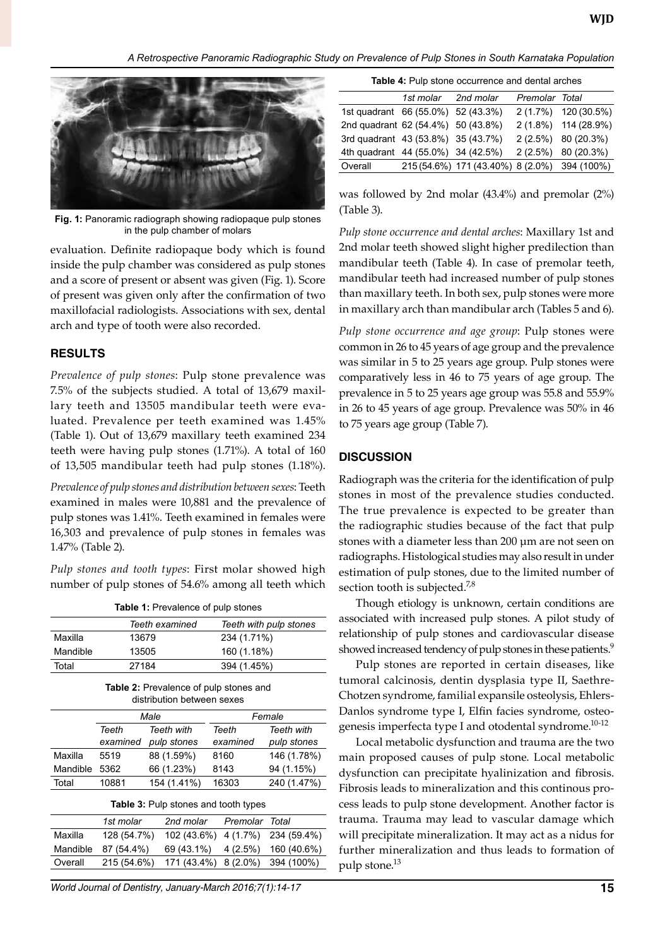*A Retrospective Panoramic Radiographic Study on Prevalence of Pulp Stones in South Karnataka Population*



**Fig. 1:** Panoramic radiograph showing radiopaque pulp stones in the pulp chamber of molars

evaluation. Definite radiopaque body which is found inside the pulp chamber was considered as pulp stones and a score of present or absent was given (Fig. 1). Score of present was given only after the confirmation of two maxillofacial radiologists. Associations with sex, dental arch and type of tooth were also recorded.

## **RESULTS**

*Prevalence of pulp stones*: Pulp stone prevalence was 7.5% of the subjects studied. A total of 13,679 maxillary teeth and 13505 mandibular teeth were evaluated. Prevalence per teeth examined was 1.45% (Table 1). Out of 13,679 maxillary teeth examined 234 teeth were having pulp stones (1.71%). A total of 160 of 13,505 mandibular teeth had pulp stones (1.18%).

*Prevalence of pulp stones and distribution between sexes*: Teeth examined in males were 10,881 and the prevalence of pulp stones was 1.41%. Teeth examined in females were 16,303 and prevalence of pulp stones in females was 1.47% (Table 2).

*Pulp stones and tooth types*: First molar showed high number of pulp stones of 54.6% among all teeth which

| Table 1: Prevalence of pulp stones |  |  |  |  |  |  |
|------------------------------------|--|--|--|--|--|--|
|------------------------------------|--|--|--|--|--|--|

|          | Teeth examined | Teeth with pulp stones |
|----------|----------------|------------------------|
| Maxilla  | 13679          | 234 (1.71%)            |
| Mandible | 13505          | 160 (1.18%)            |
| Total    | 27184          | 394 (1.45%)            |

| <b>Table 2:</b> Prevalence of pulp stones and |
|-----------------------------------------------|
| distribution between sexes                    |

|          |          | Male                                | Female   |                   |  |
|----------|----------|-------------------------------------|----------|-------------------|--|
|          | Teeth    | Teeth with                          | Teeth    | <b>Teeth with</b> |  |
|          | examined | pulp stones                         | examined | pulp stones       |  |
| Maxilla  | 5519     | 88 (1.59%)                          | 8160     | 146 (1.78%)       |  |
| Mandible | 5362     | 66 (1.23%)                          | 8143     | 94 (1.15%)        |  |
| Total    | 10881    | 154 (1.41%)                         | 16303    | 240 (1.47%)       |  |
|          |          | Table 0. Dula stages and teath twee |          |                   |  |

| <b>Table 3: Pulp stones and tooth types</b> |             |                                  |  |             |  |  |  |
|---------------------------------------------|-------------|----------------------------------|--|-------------|--|--|--|
|                                             | 1st molar   | 2nd molar Premolar Total         |  |             |  |  |  |
| Maxilla                                     | 128 (54.7%) | 102 (43.6%) 4 (1.7%) 234 (59.4%) |  |             |  |  |  |
| Mandible                                    | 87 (54.4%)  | $69(43.1\%)$ 4 (2.5%)            |  | 160 (40.6%) |  |  |  |
| Overall                                     | 215 (54.6%) | 171 (43.4%) 8 (2.0%) 394 (100%)  |  |             |  |  |  |

World Journal of Dentistry, January-March 2016;7(1):14-17 **15**

|  | Table 4: Pulp stone occurrence and dental arches |  |  |
|--|--------------------------------------------------|--|--|

|                                    | 1st molar 2nd molar |                                              | Premolar Total |                       |
|------------------------------------|---------------------|----------------------------------------------|----------------|-----------------------|
| 1st quadrant 66 (55.0%) 52 (43.3%) |                     |                                              |                | 2 (1.7%) 120 (30.5%)  |
| 2nd quadrant 62 (54.4%) 50 (43.8%) |                     |                                              |                | 2 (1.8%) 114 (28.9%)  |
| 3rd quadrant 43 (53.8%) 35 (43.7%) |                     |                                              |                | 2 (2.5%) 80 (20.3%)   |
| 4th quadrant 44 (55.0%) 34 (42.5%) |                     |                                              |                | $2(2.5\%)$ 80 (20.3%) |
| Overall                            |                     | 215 (54.6%) 171 (43.40%) 8 (2.0%) 394 (100%) |                |                       |

was followed by 2nd molar (43.4%) and premolar (2%) (Table 3).

*Pulp stone occurrence and dental arches*: Maxillary 1st and 2nd molar teeth showed slight higher predilection than mandibular teeth (Table 4). In case of premolar teeth, mandibular teeth had increased number of pulp stones than maxillary teeth. In both sex, pulp stones were more in maxillary arch than mandibular arch (Tables 5 and 6).

*Pulp stone occurrence and age group*: Pulp stones were common in 26 to 45 years of age group and the prevalence was similar in 5 to 25 years age group. Pulp stones were comparatively less in 46 to 75 years of age group. The prevalence in 5 to 25 years age group was 55.8 and 55.9% in 26 to 45 years of age group. Prevalence was 50% in 46 to 75 years age group (Table 7).

### **DISCUSSION**

Radiograph was the criteria for the identification of pulp stones in most of the prevalence studies conducted. The true prevalence is expected to be greater than the radiographic studies because of the fact that pulp stones with a diameter less than 200 µm are not seen on radiographs. Histological studies may also result in under estimation of pulp stones, due to the limited number of section tooth is subjected.<sup>7,8</sup>

Though etiology is unknown, certain conditions are associated with increased pulp stones. A pilot study of relationship of pulp stones and cardiovascular disease showed increased tendency of pulp stones in these patients.<sup>9</sup>

Pulp stones are reported in certain diseases, like tumoral calcinosis, dentin dysplasia type II, Saethre-Chotzen syndrome, familial expansile osteolysis, Ehlers-Danlos syndrome type I, Elfin facies syndrome, osteogenesis imperfecta type I and otodental syndrome.<sup>10-12</sup>

Local metabolic dysfunction and trauma are the two main proposed causes of pulp stone. Local metabolic dysfunction can precipitate hyalinization and fibrosis. Fibrosis leads to mineralization and this continous process leads to pulp stone development. Another factor is trauma. Trauma may lead to vascular damage which will precipitate mineralization. It may act as a nidus for further mineralization and thus leads to formation of pulp stone.<sup>13</sup>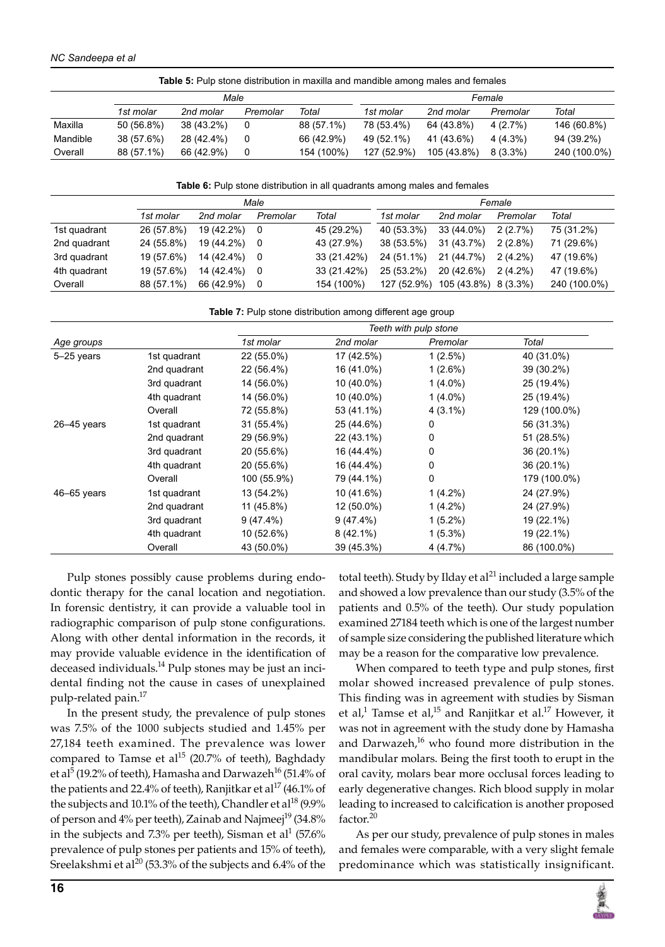|          |            |            |          |            | <b>Table 5:</b> Pulp stone distribution in maxilla and mandible among males and females |             |            |              |
|----------|------------|------------|----------|------------|-----------------------------------------------------------------------------------------|-------------|------------|--------------|
|          |            | Male       |          |            |                                                                                         |             | Female     |              |
|          | 1st molar  | 2nd molar  | Premolar | Total      | 1st molar                                                                               | 2nd molar   | Premolar   | Total        |
| Maxilla  | 50 (56.8%) | 38 (43.2%) | 0        | 88 (57.1%) | 78 (53.4%)                                                                              | 64 (43.8%)  | 4(2.7%)    | 146 (60.8%)  |
| Mandible | 38 (57.6%) | 28 (42.4%) | 0        | 66 (42.9%) | 49 (52.1%)                                                                              | 41 (43.6%)  | $4(4.3\%)$ | 94 (39.2%)   |
| Overall  | 88 (57.1%) | 66 (42.9%) | 0        | 154 (100%) | 127 (52.9%)                                                                             | 105 (43.8%) | $8(3.3\%)$ | 240 (100.0%) |

**Table 6:** Pulp stone distribution in all quadrants among males and females

| Male         |            |            |          |             |             | Female               |            |              |
|--------------|------------|------------|----------|-------------|-------------|----------------------|------------|--------------|
|              | 1st molar  | 2nd molar  | Premolar | Total       | 1st molar   | 2nd molar            | Premolar   | Total        |
| 1st quadrant | 26 (57.8%) | 19 (42.2%) | 0        | 45 (29.2%)  | 40 (53.3%)  | 33 (44.0%)           | 2(2.7%)    | 75 (31.2%)   |
| 2nd quadrant | 24 (55.8%) | 19 (44.2%) | - 0      | 43 (27.9%)  | 38 (53.5%)  | 31 (43.7%)           | $2(2.8\%)$ | 71 (29.6%)   |
| 3rd quadrant | 19 (57.6%) | 14 (42.4%) | - 0      | 33 (21.42%) | 24 (51.1%)  | 21 (44.7%)           | $2(4.2\%)$ | 47 (19.6%)   |
| 4th quadrant | 19 (57.6%) | 14 (42.4%) | 0        | 33 (21.42%) | 25 (53.2%)  | 20 (42.6%)           | $2(4.2\%)$ | 47 (19.6%)   |
| Overall      | 88 (57.1%) | 66 (42.9%) | 0        | 154 (100%)  | 127 (52.9%) | 105 (43.8%) 8 (3.3%) |            | 240 (100.0%) |

Table 7: Pulp stone distribution among different age group

|                 |              | Teeth with pulp stone |             |            |              |  |  |  |
|-----------------|--------------|-----------------------|-------------|------------|--------------|--|--|--|
| Age groups      |              | 1st molar             | 2nd molar   | Premolar   | Total        |  |  |  |
| 5-25 years      | 1st quadrant | 22 (55.0%)            | 17 (42.5%)  | $1(2.5\%)$ | 40 (31.0%)   |  |  |  |
|                 | 2nd quadrant | 22 (56.4%)            | 16 (41.0%)  | $1(2.6\%)$ | 39 (30.2%)   |  |  |  |
|                 | 3rd quadrant | 14 (56.0%)            | 10 (40.0%)  | $1(4.0\%)$ | 25 (19.4%)   |  |  |  |
|                 | 4th quadrant | 14 (56.0%)            | 10 (40.0%)  | $1(4.0\%)$ | 25 (19.4%)   |  |  |  |
|                 | Overall      | 72 (55.8%)            | 53 (41.1%)  | $4(3.1\%)$ | 129 (100.0%) |  |  |  |
| $26 - 45$ years | 1st quadrant | 31 (55.4%)            | 25 (44.6%)  | 0          | 56 (31.3%)   |  |  |  |
|                 | 2nd quadrant | 29 (56.9%)            | 22 (43.1%)  | 0          | 51 (28.5%)   |  |  |  |
|                 | 3rd quadrant | 20 (55.6%)            | 16 (44.4%)  | 0          | 36 (20.1%)   |  |  |  |
|                 | 4th quadrant | 20 (55.6%)            | 16 (44.4%)  | 0          | 36 (20.1%)   |  |  |  |
|                 | Overall      | 100 (55.9%)           | 79 (44.1%)  | 0          | 179 (100.0%) |  |  |  |
| 46–65 years     | 1st quadrant | 13 (54.2%)            | 10 (41.6%)  | $1(4.2\%)$ | 24 (27.9%)   |  |  |  |
|                 | 2nd quadrant | 11 (45.8%)            | 12 (50.0%)  | $1(4.2\%)$ | 24 (27.9%)   |  |  |  |
|                 | 3rd quadrant | $9(47.4\%)$           | 9(47.4%)    | $1(5.2\%)$ | 19 (22.1%)   |  |  |  |
|                 | 4th quadrant | 10 (52.6%)            | $8(42.1\%)$ | $1(5.3\%)$ | 19 (22.1%)   |  |  |  |
|                 | Overall      | 43 (50.0%)            | 39 (45.3%)  | 4(4.7%)    | 86 (100.0%)  |  |  |  |

Pulp stones possibly cause problems during endodontic therapy for the canal location and negotiation. In forensic dentistry, it can provide a valuable tool in radiographic comparison of pulp stone configurations. Along with other dental information in the records, it may provide valuable evidence in the identification of deceased individuals.<sup>14</sup> Pulp stones may be just an incidental finding not the cause in cases of unexplained pulp-related pain.<sup>17</sup>

In the present study, the prevalence of pulp stones was 7.5% of the 1000 subjects studied and 1.45% per 27,184 teeth examined. The prevalence was lower compared to Tamse et al<sup>15</sup> (20.7% of teeth), Baghdady et al<sup>5</sup> (19.2% of teeth), Hamasha and Darwazeh<sup>16</sup> (51.4% of the patients and 22.4% of teeth), Ranjitkar et al $^{17}$  (46.1% of the subjects and 10.1% of the teeth), Chandler et al<sup>18</sup> (9.9% of person and 4% per teeth), Zainab and Najmeej<sup>19</sup> (34.8% in the subjects and 7.3% per teeth), Sisman et al<sup>1</sup> (57.6% prevalence of pulp stones per patients and 15% of teeth), Sreelakshmi et al<sup>20</sup> (53.3% of the subjects and 6.4% of the

total teeth). Study by Ilday et al $^{21}$  included a large sample and showed a low prevalence than our study (3.5% of the patients and 0.5% of the teeth). Our study population examined 27184 teeth which is one of the largest number of sample size considering the published literature which may be a reason for the comparative low prevalence.

When compared to teeth type and pulp stones, first molar showed increased prevalence of pulp stones. This finding was in agreement with studies by Sisman et al,<sup>1</sup> Tamse et al,<sup>15</sup> and Ranjitkar et al.<sup>17</sup> However, it was not in agreement with the study done by Hamasha and Darwazeh, $16$  who found more distribution in the mandibular molars. Being the first tooth to erupt in the oral cavity, molars bear more occlusal forces leading to early degenerative changes. Rich blood supply in molar leading to increased to calcification is another proposed factor.<sup>20</sup>

As per our study, prevalence of pulp stones in males and females were comparable, with a very slight female predominance which was statistically insignificant.